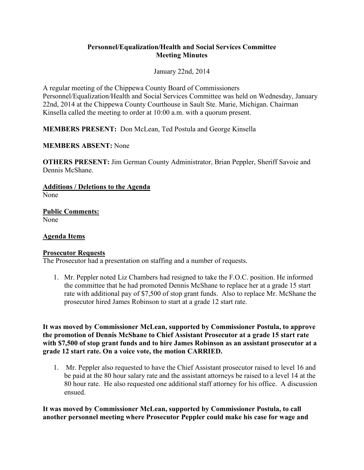## **Personnel/Equalization/Health and Social Services Committee Meeting Minutes**

January 22nd, 2014

A regular meeting of the Chippewa County Board of Commissioners Personnel/Equalization/Health and Social Services Committee was held on Wednesday, January 22nd, 2014 at the Chippewa County Courthouse in Sault Ste. Marie, Michigan. Chairman Kinsella called the meeting to order at 10:00 a.m. with a quorum present.

**MEMBERS PRESENT:** Don McLean, Ted Postula and George Kinsella

**MEMBERS ABSENT:** None

**OTHERS PRESENT:** Jim German County Administrator, Brian Peppler, Sheriff Savoie and Dennis McShane.

**Additions / Deletions to the Agenda**  None

**Public Comments:**  None

## **Agenda Items**

## **Prosecutor Requests**

The Prosecutor had a presentation on staffing and a number of requests.

1. Mr. Peppler noted Liz Chambers had resigned to take the F.O.C. position. He informed the committee that he had promoted Dennis McShane to replace her at a grade 15 start rate with additional pay of \$7,500 of stop grant funds. Also to replace Mr. McShane the prosecutor hired James Robinson to start at a grade 12 start rate.

**It was moved by Commissioner McLean, supported by Commissioner Postula, to approve the promotion of Dennis McShane to Chief Assistant Prosecutor at a grade 15 start rate with \$7,500 of stop grant funds and to hire James Robinson as an assistant prosecutor at a grade 12 start rate. On a voice vote, the motion CARRIED.**

1. Mr. Peppler also requested to have the Chief Assistant prosecutor raised to level 16 and be paid at the 80 hour salary rate and the assistant attorneys be raised to a level 14 at the 80 hour rate. He also requested one additional staff attorney for his office. A discussion ensued.

**It was moved by Commissioner McLean, supported by Commissioner Postula, to call another personnel meeting where Prosecutor Peppler could make his case for wage and**